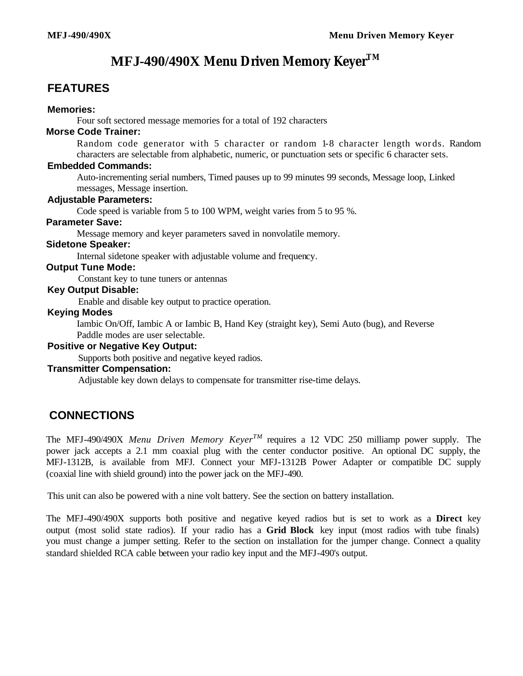# **MFJ-490/490X** *Menu Driven Memory KeyerTM*

# **FEATURES**

#### **Memories:**

Four soft sectored message memories for a total of 192 characters

### **Morse Code Trainer:**

Random code generator with 5 character or random 1-8 character length words. Random characters are selectable from alphabetic, numeric, or punctuation sets or specific 6 character sets.

#### **Embedded Commands:**

Auto-incrementing serial numbers, Timed pauses up to 99 minutes 99 seconds, Message loop, Linked messages, Message insertion.

#### **Adjustable Parameters:**

Code speed is variable from 5 to 100 WPM, weight varies from 5 to 95 %.

## **Parameter Save:**

Message memory and keyer parameters saved in nonvolatile memory.

## **Sidetone Speaker:**

Internal sidetone speaker with adjustable volume and frequency.

#### **Output Tune Mode:**

Constant key to tune tuners or antennas

#### **Key Output Disable:**

Enable and disable key output to practice operation.

#### **Keying Modes**

Iambic On/Off, Iambic A or Iambic B, Hand Key (straight key), Semi Auto (bug), and Reverse Paddle modes are user selectable.

#### **Positive or Negative Key Output:**

Supports both positive and negative keyed radios.

#### **Transmitter Compensation:**

Adjustable key down delays to compensate for transmitter rise-time delays.

# **CONNECTIONS**

The MFJ-490/490X *Menu Driven Memory KeyerTM* requires a 12 VDC 250 milliamp power supply. The power jack accepts a 2.1 mm coaxial plug with the center conductor positive. An optional DC supply, the MFJ-1312B, is available from MFJ. Connect your MFJ-1312B Power Adapter or compatible DC supply (coaxial line with shield ground) into the power jack on the MFJ-490.

This unit can also be powered with a nine volt battery. See the section on battery installation.

The MFJ-490/490X supports both positive and negative keyed radios but is set to work as a **Direct** key output (most solid state radios). If your radio has a **Grid Block** key input (most radios with tube finals) you must change a jumper setting. Refer to the section on installation for the jumper change. Connect a quality standard shielded RCA cable between your radio key input and the MFJ-490's output.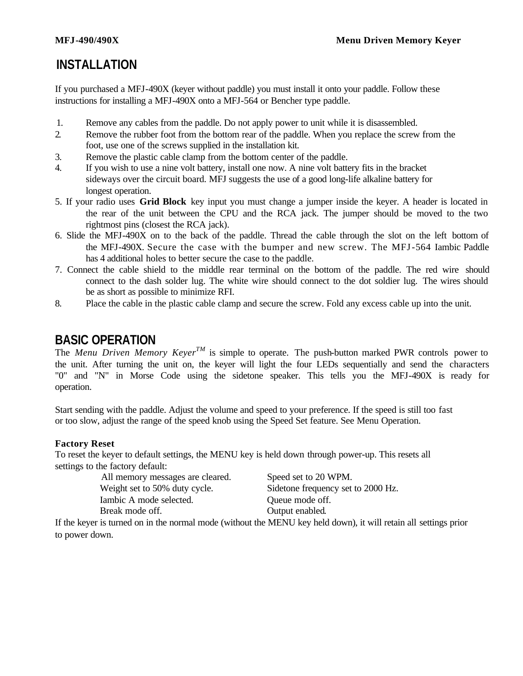# **INSTALLATION**

If you purchased a MFJ-490X (keyer without paddle) you must install it onto your paddle. Follow these instructions for installing a MFJ-490X onto a MFJ-564 or Bencher type paddle.

- 1. Remove any cables from the paddle. Do not apply power to unit while it is disassembled.
- 2. Remove the rubber foot from the bottom rear of the paddle. When you replace the screw from the foot, use one of the screws supplied in the installation kit.
- 3. Remove the plastic cable clamp from the bottom center of the paddle.
- 4. If you wish to use a nine volt battery, install one now. A nine volt battery fits in the bracket sideways over the circuit board. MFJ suggests the use of a good long-life alkaline battery for longest operation.
- 5. If your radio uses **Grid Block** key input you must change a jumper inside the keyer. A header is located in the rear of the unit between the CPU and the RCA jack. The jumper should be moved to the two rightmost pins (closest the RCA jack).
- 6. Slide the MFJ-490X on to the back of the paddle. Thread the cable through the slot on the left bottom of the MFJ-490X. Secure the case with the bumper and new screw. The MFJ-564 Iambic Paddle has 4 additional holes to better secure the case to the paddle.
- 7. Connect the cable shield to the middle rear terminal on the bottom of the paddle. The red wire should connect to the dash solder lug. The white wire should connect to the dot soldier lug. The wires should be as short as possible to minimize RFI.
- 8. Place the cable in the plastic cable clamp and secure the screw. Fold any excess cable up into the unit.

# **BASIC OPERATION**

The *Menu Driven Memory KeyerTM* is simple to operate. The push-button marked PWR controls power to the unit. After turning the unit on, the keyer will light the four LEDs sequentially and send the characters "0" and "N" in Morse Code using the sidetone speaker. This tells you the MFJ-490X is ready for operation.

Start sending with the paddle. Adjust the volume and speed to your preference. If the speed is still too fast or too slow, adjust the range of the speed knob using the Speed Set feature. See Menu Operation.

### **Factory Reset**

To reset the keyer to default settings, the MENU key is held down through power-up. This resets all settings to the factory default:

> All memory messages are cleared. Speed set to 20 WPM. Iambic A mode selected.  $\qquad \qquad \text{Queue mode off.}$ Break mode off.  $Q$  Output enabled.

Weight set to 50% duty cycle. Sidetone frequency set to 2000 Hz.

If the keyer is turned on in the normal mode (without the MENU key held down), it will retain all settings prior to power down.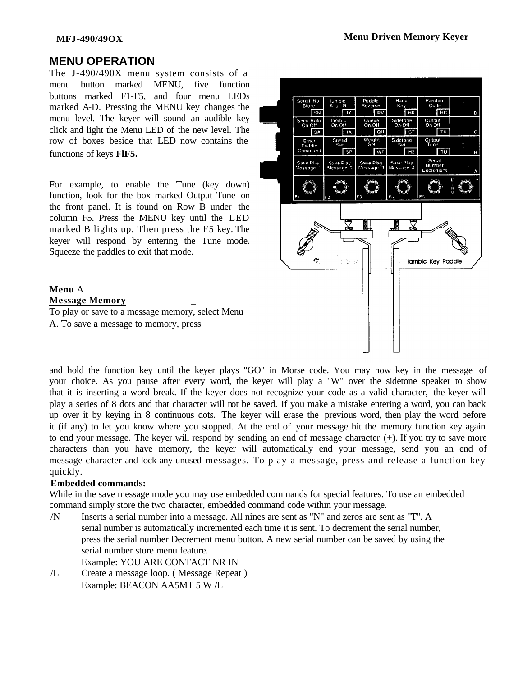### **MFJ-490/49OX Menu Driven Memory Keyer**

## **MENU OPERATION**

The J-490/490X menu system consists of a menu button marked MENU, five function buttons marked F1-F5, and four menu LEDs marked A-D. Pressing the MENU key changes the menu level. The keyer will sound an audible key click and light the Menu LED of the new level. The row of boxes beside that LED now contains the functions of keys **FlF5.**

For example, to enable the Tune (key down) function, look for the box marked Output Tune on the front panel. It is found on Row B under the column F5. Press the MENU key until the LED marked B lights up. Then press the F5 key. The keyer will respond by entering the Tune mode. Squeeze the paddles to exit that mode.

#### **Menu** A **Message Memory** \_

To play or save to a message memory, select Menu A. To save a message to memory, press



and hold the function key until the keyer plays "GO" in Morse code. You may now key in the message of your choice. As you pause after every word, the keyer will play a "W" over the sidetone speaker to show that it is inserting a word break. If the keyer does not recognize your code as a valid character, the keyer will play a series of 8 dots and that character will not be saved. If you make a mistake entering a word, you can back up over it by keying in 8 continuous dots. The keyer will erase the previous word, then play the word before it (if any) to let you know where you stopped. At the end of your message hit the memory function key again to end your message. The keyer will respond by sending an end of message character (+). If you try to save more characters than you have memory, the keyer will automatically end your message, send you an end of message character and lock any unused messages. To play a message, press and release a function key quickly.

### **Embedded commands:**

While in the save message mode you may use embedded commands for special features. To use an embedded command simply store the two character, embedded command code within your message.

- /N Inserts a serial number into a message. All nines are sent as "N" and zeros are sent as "T". A serial number is automatically incremented each time it is sent. To decrement the serial number, press the serial number Decrement menu button. A new serial number can be saved by using the serial number store menu feature. Example: YOU ARE CONTACT NR IN
- /L Create a message loop. ( Message Repeat ) Example: BEACON AA5MT 5 W /L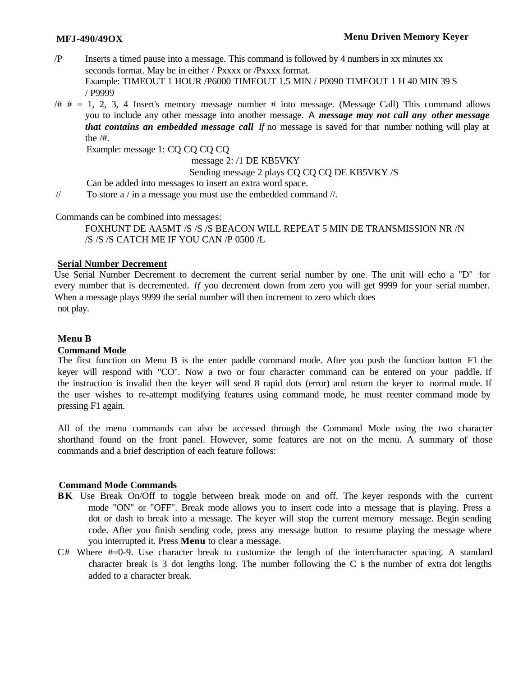- /P Inserts a timed pause into a message. This command is followed by 4 numbers in xx minutes xx seconds format. May be in either / Pxxxx or /Pxxxx format. Example: TIMEOUT 1 HOUR /P6000 TIMEOUT 1.5 MIN / P0090 TIMEOUT 1 H 40 MIN 39 S / P9999
- $/# # = 1, 2, 3, 4$  Insert's memory message number  $#$  into message. (Message Call) This command allows you to include any other message into another message. *A message may not call any other message that contains an embedded message call If* no message is saved for that number nothing will play at the /#.

Example: message 1: CQ CQ CQ CQ

message 2: /1 DE KB5VKY

#### Sending message 2 plays CQ CQ CQ DE KB5VKY /S

Can be added into messages to insert an extra word space.

// To store a / in a message you must use the embedded command //.

Commands can be combined into messages:

FOXHUNT DE AA5MT /S /S /S BEACON WILL REPEAT 5 MIN DE TRANSMISSION NR /N /S /S /S CATCH ME IF YOU CAN /P 0500 /L

#### **Serial Number Decrement**

Use Serial Number Decrement to decrement the current serial number by one. The unit will echo a "D" for every number that is decremented. *If* you decrement down from zero you will get 9999 for your serial number. When a message plays 9999 the serial number will then increment to zero which does not play.

#### **Menu B**

#### **Command Mode**

The first function on Menu B is the enter paddle command mode. After you push the function button F1 the keyer will respond with "CO". Now a two or four character command can be entered on your paddle. If the instruction is invalid then the keyer will send 8 rapid dots (error) and return the keyer to normal mode. If the user wishes to re-attempt modifying features using command mode, he must reenter command mode by pressing F1 again.

All of the menu commands can also be accessed through the Command Mode using the two character shorthand found on the front panel. However, some features are not on the menu. A summary of those commands and a brief description of each feature follows:

#### **Command Mode Commands**

- **BK** Use Break On/Off to toggle between break mode on and off. The keyer responds with the current mode "ON" or "OFF". Break mode allows you to insert code into a message that is playing. Press a dot or dash to break into a message. The keyer will stop the current memory message. Begin sending code. After you finish sending code, press any message button to resume playing the message where you interrupted it. Press **Menu** to clear a message.
- $C#$  Where  $#=0-9$ . Use character break to customize the length of the intercharacter spacing. A standard character break is 3 dot lengths long. The number following the  $C$  is the number of extra dot lengths added to a character break.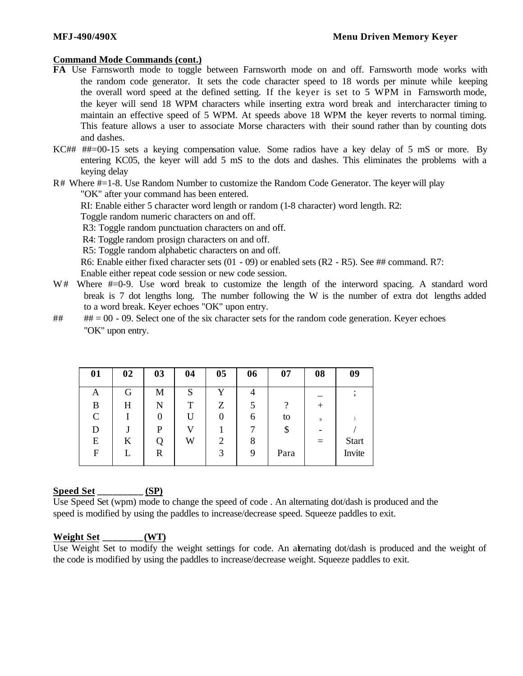#### **Command Mode Commands (cont.)**

- **FA** Use Farnsworth mode to toggle between Farnsworth mode on and off. Farnsworth mode works with the random code generator. It sets the code character speed to 18 words per minute while keeping the overall word speed at the defined setting. If the keyer is set to 5 WPM in Farnsworth mode, the keyer will send 18 WPM characters while inserting extra word break and intercharacter timing to maintain an effective speed of 5 WPM. At speeds above 18 WPM the keyer reverts to normal timing. This feature allows a user to associate Morse characters with their sound rather than by counting dots and dashes.
- KC## ##=00-15 sets a keying compensation value. Some radios have a key delay of 5 mS or more. By entering KC05, the keyer will add 5 mS to the dots and dashes. This eliminates the problems with a keying delay

R# Where #=1-8. Use Random Number to customize the Random Code Generator. The keyer will play "OK" after your command has been entered.

RI: Enable either 5 character word length or random (1-8 character) word length. R2:

Toggle random numeric characters on and off.

R3: Toggle random punctuation characters on and off.

R4: Toggle random prosign characters on and off.

R5: Toggle random alphabetic characters on and off.

R6: Enable either fixed character sets (01 - 09) or enabled sets (R2 - R5). See ## command. R7:

Enable either repeat code session or new code session.

- W# Where  $\#=0.9$ . Use word break to customize the length of the interword spacing. A standard word break is 7 dot lengths long. The number following the W is the number of extra dot lengths added to a word break. Keyer echoes "OK" upon entry.
- $\#$   $\#$  = 00 09. Select one of the six character sets for the random code generation. Keyer echoes "OK" upon entry.

| 01            | 02 | 03 | 04 | 05 | 06 | 07   | 08   | 09           |
|---------------|----|----|----|----|----|------|------|--------------|
| Α             | G  | M  | S  | v  | 4  |      |      |              |
| B             | H  | N  | Т  | Ζ  |    | റ    | $^+$ |              |
| $\mathcal{C}$ |    | 0  | U  |    | 6  | to   | 9    |              |
| D             |    | P  | V  |    |    | \$   |      |              |
| E             | K  |    | W  | 2  | 8  |      |      | <b>Start</b> |
| F             |    | R  |    | 3  | 9  | Para |      | Invite       |
|               |    |    |    |    |    |      |      |              |

#### **Speed Set \_\_\_\_\_\_\_\_\_ (SP)**

Use Speed Set (wpm) mode to change the speed of code . An alternating dot/dash is produced and the speed is modified by using the paddles to increase/decrease speed. Squeeze paddles to exit.

#### **Weight Set \_\_\_\_\_\_\_\_(WT)**

Use Weight Set to modify the weight settings for code. An alternating dot/dash is produced and the weight of the code is modified by using the paddles to increase/decrease weight. Squeeze paddles to exit.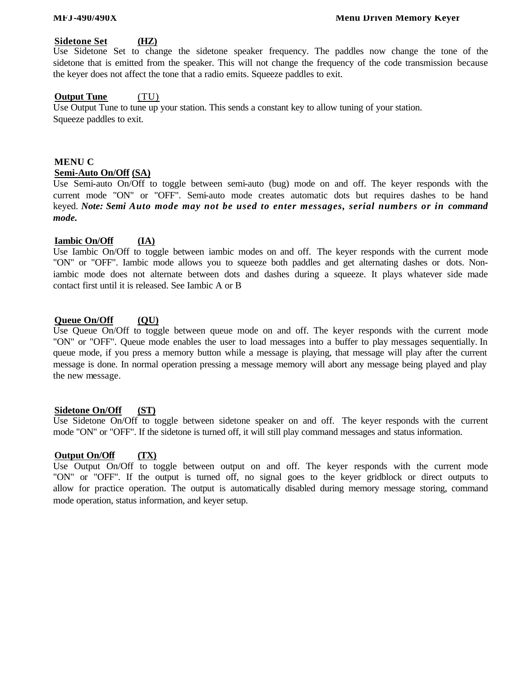#### **Sidetone Set (HZ)**

Use Sidetone Set to change the sidetone speaker frequency. The paddles now change the tone of the sidetone that is emitted from the speaker. This will not change the frequency of the code transmission because the keyer does not affect the tone that a radio emits. Squeeze paddles to exit.

#### **Output Tune** (TU)

Use Output Tune to tune up your station. This sends a constant key to allow tuning of your station. Squeeze paddles to exit.

### **MENU C Semi-Auto On/Off (SA)**

Use Semi-auto On/Off to toggle between semi-auto (bug) mode on and off. The keyer responds with the current mode "ON" or "OFF". Semi-auto mode creates automatic dots but requires dashes to be hand keyed. *Note: Semi Auto mode may not be used to enter messages, serial numbers or in command mode.*

#### **Iambic On/Off (IA)**

Use Iambic On/Off to toggle between iambic modes on and off. The keyer responds with the current mode "ON" or "OFF". Iambic mode allows you to squeeze both paddles and get alternating dashes or dots. Noniambic mode does not alternate between dots and dashes during a squeeze. It plays whatever side made contact first until it is released. See Iambic A or B

#### **Queue On/Off (QU)**

Use Queue On/Off to toggle between queue mode on and off. The keyer responds with the current mode "ON" or "OFF". Queue mode enables the user to load messages into a buffer to play messages sequentially. In queue mode, if you press a memory button while a message is playing, that message will play after the current message is done. In normal operation pressing a message memory will abort any message being played and play the new message.

#### **Sidetone On/Off (ST)**

Use Sidetone On/Off to toggle between sidetone speaker on and off. The keyer responds with the current mode "ON" or "OFF". If the sidetone is turned off, it will still play command messages and status information.

### **Output On/Off (TX)**

Use Output On/Off to toggle between output on and off. The keyer responds with the current mode "ON" or "OFF". If the output is turned off, no signal goes to the keyer gridblock or direct outputs to allow for practice operation. The output is automatically disabled during memory message storing, command mode operation, status information, and keyer setup.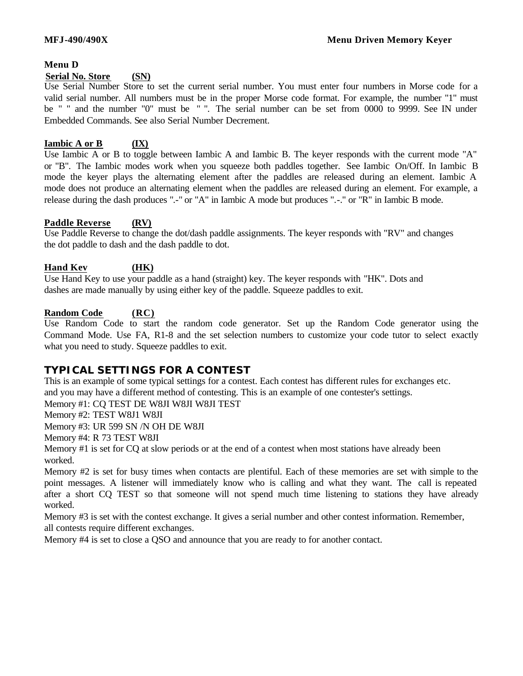#### **Menu D**

#### **Serial No. Store (SN)**

Use Serial Number Store to set the current serial number. You must enter four numbers in Morse code for a valid serial number. All numbers must be in the proper Morse code format. For example, the number "1" must be " " and the number "0" must be " ". The serial number can be set from 0000 to 9999. See IN under Embedded Commands. See also Serial Number Decrement.

#### **Iambic A or B (IX)**

Use Iambic A or B to toggle between Iambic A and Iambic B. The keyer responds with the current mode "A" or "B". The Iambic modes work when you squeeze both paddles together. See Iambic On/Off. In Iambic B mode the keyer plays the alternating element after the paddles are released during an element. Iambic A mode does not produce an alternating element when the paddles are released during an element. For example, a release during the dash produces ".-" or "A" in Iambic A mode but produces ".-." or "R" in Iambic B mode.

#### **Paddle Reverse (RV)**

Use Paddle Reverse to change the dot/dash paddle assignments. The keyer responds with "RV" and changes the dot paddle to dash and the dash paddle to dot.

#### **Hand Kev (HK)**

Use Hand Key to use your paddle as a hand (straight) key. The keyer responds with "HK". Dots and dashes are made manually by using either key of the paddle. Squeeze paddles to exit.

#### **Random Code (RC)**

Use Random Code to start the random code generator. Set up the Random Code generator using the Command Mode. Use FA, R1-8 and the set selection numbers to customize your code tutor to select exactly what you need to study. Squeeze paddles to exit.

### **TYPICAL SETTINGS FOR A CONTEST**

This is an example of some typical settings for a contest. Each contest has different rules for exchanges etc. and you may have a different method of contesting. This is an example of one contester's settings.

Memory #1: CQ TEST DE W8JI W8JI W8JI TEST

Memory #2: TEST W8J1 W8JI

Memory #3: UR 599 SN /N OH DE W8JI

Memory #4: R 73 TEST W8JI

Memory #1 is set for CQ at slow periods or at the end of a contest when most stations have already been worked.

Memory #2 is set for busy times when contacts are plentiful. Each of these memories are set with simple to the point messages. A listener will immediately know who is calling and what they want. The call is repeated after a short CQ TEST so that someone will not spend much time listening to stations they have already worked.

Memory #3 is set with the contest exchange. It gives a serial number and other contest information. Remember, all contests require different exchanges.

Memory #4 is set to close a QSO and announce that you are ready to for another contact.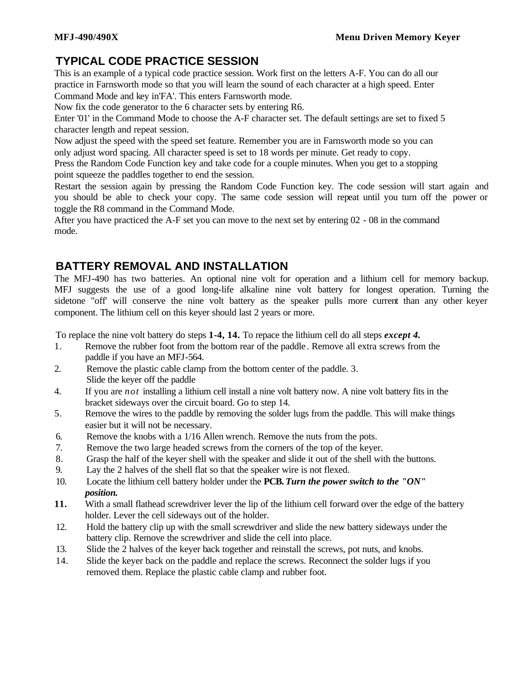# **TYPICAL CODE PRACTICE SESSION**

This is an example of a typical code practice session. Work first on the letters A-F. You can do all our practice in Farnsworth mode so that you will learn the sound of each character at a high speed. Enter Command Mode and key in'FA'. This enters Farnsworth mode.

Now fix the code generator to the 6 character sets by entering R6.

Enter '01' in the Command Mode to choose the A-F character set. The default settings are set to fixed 5 character length and repeat session.

Now adjust the speed with the speed set feature. Remember you are in Farnsworth mode so you can only adjust word spacing. All character speed is set to 18 words per minute. Get ready to copy.

Press the Random Code Function key and take code for a couple minutes. When you get to a stopping point squeeze the paddles together to end the session.

Restart the session again by pressing the Random Code Function key. The code session will start again and you should be able to check your copy. The same code session will repeat until you turn off the power or toggle the R8 command in the Command Mode.

After you have practiced the A-F set you can move to the next set by entering 02 - 08 in the command mode.

# **BATTERY REMOVAL AND INSTALLATION**

The MFJ-490 has two batteries. An optional nine volt for operation and a lithium cell for memory backup. MFJ suggests the use of a good long-life alkaline nine volt battery for longest operation. Turning the sidetone "off' will conserve the nine volt battery as the speaker pulls more current than any other keyer component. The lithium cell on this keyer should last 2 years or more.

To replace the nine volt battery do steps **1-4, 14.** To repace the lithium cell do all steps *except 4.*

- 1. Remove the rubber foot from the bottom rear of the paddle . Remove all extra screws from the paddle if you have an MFJ-564.
- 2. Remove the plastic cable clamp from the bottom center of the paddle. 3. Slide the keyer off the paddle
- 4. If you are *not* installing a lithium cell install a nine volt battery now. A nine volt battery fits in the bracket sideways over the circuit board. Go to step 14.
- 5. Remove the wires to the paddle by removing the solder lugs from the paddle. This will make things easier but it will not be necessary.
- 6. Remove the knobs with a 1/16 Allen wrench. Remove the nuts from the pots.
- 7. Remove the two large headed screws from the corners of the top of the keyer.
- 8. Grasp the half of the keyer shell with the speaker and slide it out of the shell with the buttons.
- 9. Lay the 2 halves of the shell flat so that the speaker wire is not flexed.
- 10. Locate the lithium cell battery holder under the **PCB.** *Turn the power switch to the "ON" position.*
- **11.** With a small flathead screwdriver lever the lip of the lithium cell forward over the edge of the battery holder. Lever the cell sideways out of the holder.
- 12. Hold the battery clip up with the small screwdriver and slide the new battery sideways under the battery clip. Remove the screwdriver and slide the cell into place.
- 13. Slide the 2 halves of the keyer back together and reinstall the screws, pot nuts, and knobs.
- 14. Slide the keyer back on the paddle and replace the screws. Reconnect the solder lugs if you removed them. Replace the plastic cable clamp and rubber foot.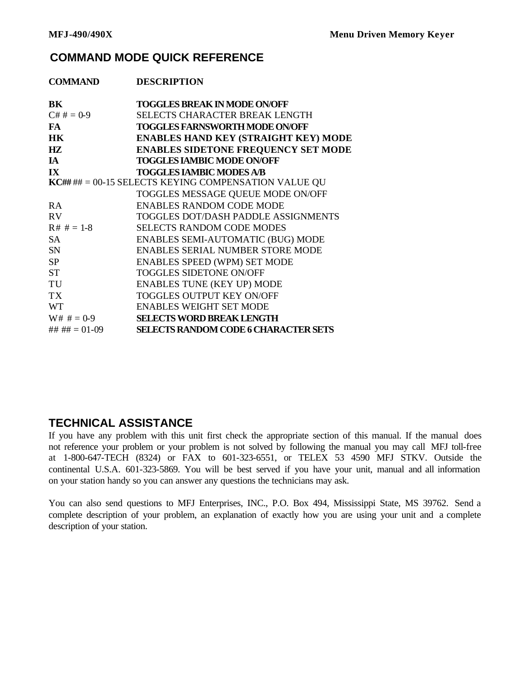# **COMMAND MODE QUICK REFERENCE**

| <b>COMMAND</b>    | <b>DESCRIPTION</b>                                   |
|-------------------|------------------------------------------------------|
| BK                | <b>TOGGLES BREAK IN MODE ON/OFF</b>                  |
| $C# # = 0.9$      | <b>SELECTS CHARACTER BREAK LENGTH</b>                |
| <b>FA</b>         | <b>TOGGLES FARNSWORTH MODE ON/OFF</b>                |
| <b>HK</b>         | <b>ENABLES HAND KEY (STRAIGHT KEY) MODE</b>          |
| HZ                | <b>ENABLES SIDETONE FREQUENCY SET MODE</b>           |
| <b>IA</b>         | <b>TOGGLES IAMBIC MODE ON/OFF</b>                    |
| IX                | <b>TOGGLES IAMBIC MODES A/B</b>                      |
|                   | KC## ## = 00-15 SELECTS KEYING COMPENSATION VALUE QU |
|                   | TOGGLES MESSAGE QUEUE MODE ON/OFF                    |
| <b>RA</b>         | <b>ENABLES RANDOM CODE MODE</b>                      |
| <b>RV</b>         | <b>TOGGLES DOT/DASH PADDLE ASSIGNMENTS</b>           |
| $R# # = 1-8$      | <b>SELECTS RANDOM CODE MODES</b>                     |
| <b>SA</b>         | <b>ENABLES SEMI-AUTOMATIC (BUG) MODE</b>             |
| <b>SN</b>         | <b>ENABLES SERIAL NUMBER STORE MODE</b>              |
| <b>SP</b>         | <b>ENABLES SPEED (WPM) SET MODE</b>                  |
| <b>ST</b>         | <b>TOGGLES SIDETONE ON/OFF</b>                       |
| TU                | <b>ENABLES TUNE (KEY UP) MODE</b>                    |
| <b>TX</b>         | TOGGLES OUTPUT KEY ON/OFF                            |
| <b>WT</b>         | <b>ENABLES WEIGHT SET MODE</b>                       |
| $W# # = 0-9$      | <b>SELECTS WORD BREAK LENGTH</b>                     |
| ## ## $= 01 - 09$ | <b>SELECTS RANDOM CODE 6 CHARACTER SETS</b>          |

# **TECHNICAL ASSISTANCE**

If you have any problem with this unit first check the appropriate section of this manual. If the manual does not reference your problem or your problem is not solved by following the manual you may call MFJ toll-free at 1-800-647-TECH (8324) or FAX to 601-323-6551, or TELEX 53 4590 MFJ STKV. Outside the continental U.S.A. 601-323-5869. You will be best served if you have your unit, manual and all information on your station handy so you can answer any questions the technicians may ask.

You can also send questions to MFJ Enterprises, INC., P.O. Box 494, Mississippi State, MS 39762. Send a complete description of your problem, an explanation of exactly how you are using your unit and a complete description of your station.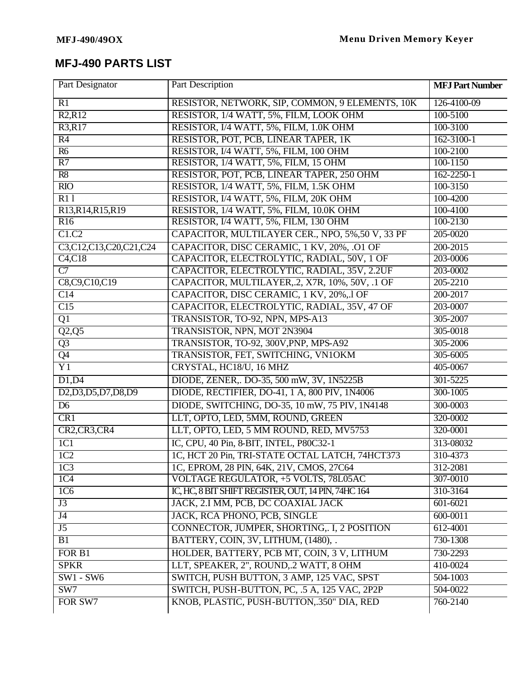# **MFJ-490 PARTS LIST**

| RESISTOR, NETWORK, SIP, COMMON, 9 ELEMENTS, 10K<br>R1<br>126-4100-09<br>RESISTOR, 1/4 WATT, 5%, FILM, LOOK OHM<br>R2, R12<br>100-5100<br>RESISTOR, I/4 WATT, 5%, FILM, 1.0K OHM<br>R3,R17<br>100-3100<br>R4<br>RESISTOR, POT, PCB, LINEAR TAPER, 1K<br>$162 - 3100 - 1$<br>RESISTOR, I/4 WATT, 5%, FILM, 100 OHM<br>100-2100<br>R6<br>RESISTOR, 1/4 WATT, 5%, FILM, 15 OHM<br>R7<br>$100 - 1150$<br>RESISTOR, POT, PCB, LINEAR TAPER, 250 OHM<br>R8<br>$162 - 2250 - 1$<br>RESISTOR, 1/4 WATT, 5%, FILM, 1.5K OHM<br>$\overline{RIO}$<br>100-3150<br>R11<br>RESISTOR, I/4 WATT, 5%, FILM, 20K OHM<br>100-4200<br>RESISTOR, 1/4 WATT, 5%, FILM, 10.0K OHM<br>R <sub>13</sub> ,R <sub>14</sub> ,R <sub>15</sub> ,R <sub>19</sub><br>100-4100<br>R16<br>100-2130<br>RESISTOR, I/4 WATT, 5%, FILM, 130 OHM<br>C1.C2<br>CAPACITOR, MULTILAYER CER., NPO, 5%,50 V, 33 PF<br>205-0020<br>CAPACITOR, DISC CERAMIC, 1 KV, 20%, .O1 OF<br>C3,C12,C13,C20,C21,C24<br>200-2015<br>CAPACITOR, ELECTROLYTIC, RADIAL, 50V, 1 OF<br>C4, C18<br>203-0006<br>CAPACITOR, ELECTROLYTIC, RADIAL, 35V, 2.2UF<br>$\overline{C}$<br>203-0002<br>C8,C9,C10,C19<br>CAPACITOR, MULTILAYER, 2, X7R, 10%, 50V, .1 OF<br>205-2210<br>CAPACITOR, DISC CERAMIC, 1 KV, 20%, 1 OF<br>$\overline{C14}$<br>200-2017<br>CAPACITOR, ELECTROLYTIC, RADIAL, 35V, 47 OF<br>C15<br>203-0007<br>TRANSISTOR, TO-92, NPN, MPS-A13<br>$\overline{Q1}$<br>305-2007<br>TRANSISTOR, NPN, MOT 2N3904<br>Q2,Q5<br>305-0018<br>TRANSISTOR, TO-92, 300V, PNP, MPS-A92<br>$\overline{Q3}$<br>305-2006<br>$\overline{Q4}$<br>TRANSISTOR, FET, SWITCHING, VN1OKM<br>305-6005<br>$\overline{Y1}$<br>CRYSTAL, HC18/U, 16 MHZ<br>405-0067<br>D1, D4<br>DIODE, ZENER,. DO-35, 500 mW, 3V, 1N5225B<br>301-5225<br>D <sub>2</sub> , D <sub>3</sub> , D <sub>5</sub> , D <sub>7</sub> , D <sub>8</sub> , D <sub>9</sub><br>DIODE, RECTIFIER, DO-41, 1 A, 800 PIV, 1N4006<br>300-1005<br>DIODE, SWITCHING, DO-35, 10 mW, 75 PIV, 1N4148<br>D <sub>6</sub><br>300-0003<br>LLT, OPTO, LED, 5MM, ROUND, GREEN<br>CR1<br>320-0002<br>LLT, OPTO, LED, 5 MM ROUND, RED, MV5753<br>CR2,CR3,CR4<br>320-0001<br>IC, CPU, 40 Pin, 8-BIT, INTEL, P80C32-1<br>1C1<br>313-08032<br>1C, HCT 20 Pin, TRI-STATE OCTAL LATCH, 74HCT373<br>1C2<br>310-4373<br>1C, EPROM, 28 PIN, 64K, 21V, CMOS, 27C64<br>1C <sub>3</sub><br>312-2081<br>1C <sub>4</sub><br><b>VOLTAGE REGULATOR, +5 VOLTS, 78L05AC</b><br>307-0010 | Part Designator | Part Description                                    | <b>MFJ Part Number</b> |
|-----------------------------------------------------------------------------------------------------------------------------------------------------------------------------------------------------------------------------------------------------------------------------------------------------------------------------------------------------------------------------------------------------------------------------------------------------------------------------------------------------------------------------------------------------------------------------------------------------------------------------------------------------------------------------------------------------------------------------------------------------------------------------------------------------------------------------------------------------------------------------------------------------------------------------------------------------------------------------------------------------------------------------------------------------------------------------------------------------------------------------------------------------------------------------------------------------------------------------------------------------------------------------------------------------------------------------------------------------------------------------------------------------------------------------------------------------------------------------------------------------------------------------------------------------------------------------------------------------------------------------------------------------------------------------------------------------------------------------------------------------------------------------------------------------------------------------------------------------------------------------------------------------------------------------------------------------------------------------------------------------------------------------------------------------------------------------------------------------------------------------------------------------------------------------------------------------------------------------------------------------------------------------------------------------------------------------------------------------------------------------------------------------------------------------------|-----------------|-----------------------------------------------------|------------------------|
|                                                                                                                                                                                                                                                                                                                                                                                                                                                                                                                                                                                                                                                                                                                                                                                                                                                                                                                                                                                                                                                                                                                                                                                                                                                                                                                                                                                                                                                                                                                                                                                                                                                                                                                                                                                                                                                                                                                                                                                                                                                                                                                                                                                                                                                                                                                                                                                                                                   |                 |                                                     |                        |
|                                                                                                                                                                                                                                                                                                                                                                                                                                                                                                                                                                                                                                                                                                                                                                                                                                                                                                                                                                                                                                                                                                                                                                                                                                                                                                                                                                                                                                                                                                                                                                                                                                                                                                                                                                                                                                                                                                                                                                                                                                                                                                                                                                                                                                                                                                                                                                                                                                   |                 |                                                     |                        |
|                                                                                                                                                                                                                                                                                                                                                                                                                                                                                                                                                                                                                                                                                                                                                                                                                                                                                                                                                                                                                                                                                                                                                                                                                                                                                                                                                                                                                                                                                                                                                                                                                                                                                                                                                                                                                                                                                                                                                                                                                                                                                                                                                                                                                                                                                                                                                                                                                                   |                 |                                                     |                        |
|                                                                                                                                                                                                                                                                                                                                                                                                                                                                                                                                                                                                                                                                                                                                                                                                                                                                                                                                                                                                                                                                                                                                                                                                                                                                                                                                                                                                                                                                                                                                                                                                                                                                                                                                                                                                                                                                                                                                                                                                                                                                                                                                                                                                                                                                                                                                                                                                                                   |                 |                                                     |                        |
|                                                                                                                                                                                                                                                                                                                                                                                                                                                                                                                                                                                                                                                                                                                                                                                                                                                                                                                                                                                                                                                                                                                                                                                                                                                                                                                                                                                                                                                                                                                                                                                                                                                                                                                                                                                                                                                                                                                                                                                                                                                                                                                                                                                                                                                                                                                                                                                                                                   |                 |                                                     |                        |
|                                                                                                                                                                                                                                                                                                                                                                                                                                                                                                                                                                                                                                                                                                                                                                                                                                                                                                                                                                                                                                                                                                                                                                                                                                                                                                                                                                                                                                                                                                                                                                                                                                                                                                                                                                                                                                                                                                                                                                                                                                                                                                                                                                                                                                                                                                                                                                                                                                   |                 |                                                     |                        |
|                                                                                                                                                                                                                                                                                                                                                                                                                                                                                                                                                                                                                                                                                                                                                                                                                                                                                                                                                                                                                                                                                                                                                                                                                                                                                                                                                                                                                                                                                                                                                                                                                                                                                                                                                                                                                                                                                                                                                                                                                                                                                                                                                                                                                                                                                                                                                                                                                                   |                 |                                                     |                        |
|                                                                                                                                                                                                                                                                                                                                                                                                                                                                                                                                                                                                                                                                                                                                                                                                                                                                                                                                                                                                                                                                                                                                                                                                                                                                                                                                                                                                                                                                                                                                                                                                                                                                                                                                                                                                                                                                                                                                                                                                                                                                                                                                                                                                                                                                                                                                                                                                                                   |                 |                                                     |                        |
|                                                                                                                                                                                                                                                                                                                                                                                                                                                                                                                                                                                                                                                                                                                                                                                                                                                                                                                                                                                                                                                                                                                                                                                                                                                                                                                                                                                                                                                                                                                                                                                                                                                                                                                                                                                                                                                                                                                                                                                                                                                                                                                                                                                                                                                                                                                                                                                                                                   |                 |                                                     |                        |
|                                                                                                                                                                                                                                                                                                                                                                                                                                                                                                                                                                                                                                                                                                                                                                                                                                                                                                                                                                                                                                                                                                                                                                                                                                                                                                                                                                                                                                                                                                                                                                                                                                                                                                                                                                                                                                                                                                                                                                                                                                                                                                                                                                                                                                                                                                                                                                                                                                   |                 |                                                     |                        |
|                                                                                                                                                                                                                                                                                                                                                                                                                                                                                                                                                                                                                                                                                                                                                                                                                                                                                                                                                                                                                                                                                                                                                                                                                                                                                                                                                                                                                                                                                                                                                                                                                                                                                                                                                                                                                                                                                                                                                                                                                                                                                                                                                                                                                                                                                                                                                                                                                                   |                 |                                                     |                        |
|                                                                                                                                                                                                                                                                                                                                                                                                                                                                                                                                                                                                                                                                                                                                                                                                                                                                                                                                                                                                                                                                                                                                                                                                                                                                                                                                                                                                                                                                                                                                                                                                                                                                                                                                                                                                                                                                                                                                                                                                                                                                                                                                                                                                                                                                                                                                                                                                                                   |                 |                                                     |                        |
|                                                                                                                                                                                                                                                                                                                                                                                                                                                                                                                                                                                                                                                                                                                                                                                                                                                                                                                                                                                                                                                                                                                                                                                                                                                                                                                                                                                                                                                                                                                                                                                                                                                                                                                                                                                                                                                                                                                                                                                                                                                                                                                                                                                                                                                                                                                                                                                                                                   |                 |                                                     |                        |
|                                                                                                                                                                                                                                                                                                                                                                                                                                                                                                                                                                                                                                                                                                                                                                                                                                                                                                                                                                                                                                                                                                                                                                                                                                                                                                                                                                                                                                                                                                                                                                                                                                                                                                                                                                                                                                                                                                                                                                                                                                                                                                                                                                                                                                                                                                                                                                                                                                   |                 |                                                     |                        |
|                                                                                                                                                                                                                                                                                                                                                                                                                                                                                                                                                                                                                                                                                                                                                                                                                                                                                                                                                                                                                                                                                                                                                                                                                                                                                                                                                                                                                                                                                                                                                                                                                                                                                                                                                                                                                                                                                                                                                                                                                                                                                                                                                                                                                                                                                                                                                                                                                                   |                 |                                                     |                        |
|                                                                                                                                                                                                                                                                                                                                                                                                                                                                                                                                                                                                                                                                                                                                                                                                                                                                                                                                                                                                                                                                                                                                                                                                                                                                                                                                                                                                                                                                                                                                                                                                                                                                                                                                                                                                                                                                                                                                                                                                                                                                                                                                                                                                                                                                                                                                                                                                                                   |                 |                                                     |                        |
|                                                                                                                                                                                                                                                                                                                                                                                                                                                                                                                                                                                                                                                                                                                                                                                                                                                                                                                                                                                                                                                                                                                                                                                                                                                                                                                                                                                                                                                                                                                                                                                                                                                                                                                                                                                                                                                                                                                                                                                                                                                                                                                                                                                                                                                                                                                                                                                                                                   |                 |                                                     |                        |
|                                                                                                                                                                                                                                                                                                                                                                                                                                                                                                                                                                                                                                                                                                                                                                                                                                                                                                                                                                                                                                                                                                                                                                                                                                                                                                                                                                                                                                                                                                                                                                                                                                                                                                                                                                                                                                                                                                                                                                                                                                                                                                                                                                                                                                                                                                                                                                                                                                   |                 |                                                     |                        |
|                                                                                                                                                                                                                                                                                                                                                                                                                                                                                                                                                                                                                                                                                                                                                                                                                                                                                                                                                                                                                                                                                                                                                                                                                                                                                                                                                                                                                                                                                                                                                                                                                                                                                                                                                                                                                                                                                                                                                                                                                                                                                                                                                                                                                                                                                                                                                                                                                                   |                 |                                                     |                        |
|                                                                                                                                                                                                                                                                                                                                                                                                                                                                                                                                                                                                                                                                                                                                                                                                                                                                                                                                                                                                                                                                                                                                                                                                                                                                                                                                                                                                                                                                                                                                                                                                                                                                                                                                                                                                                                                                                                                                                                                                                                                                                                                                                                                                                                                                                                                                                                                                                                   |                 |                                                     |                        |
|                                                                                                                                                                                                                                                                                                                                                                                                                                                                                                                                                                                                                                                                                                                                                                                                                                                                                                                                                                                                                                                                                                                                                                                                                                                                                                                                                                                                                                                                                                                                                                                                                                                                                                                                                                                                                                                                                                                                                                                                                                                                                                                                                                                                                                                                                                                                                                                                                                   |                 |                                                     |                        |
|                                                                                                                                                                                                                                                                                                                                                                                                                                                                                                                                                                                                                                                                                                                                                                                                                                                                                                                                                                                                                                                                                                                                                                                                                                                                                                                                                                                                                                                                                                                                                                                                                                                                                                                                                                                                                                                                                                                                                                                                                                                                                                                                                                                                                                                                                                                                                                                                                                   |                 |                                                     |                        |
|                                                                                                                                                                                                                                                                                                                                                                                                                                                                                                                                                                                                                                                                                                                                                                                                                                                                                                                                                                                                                                                                                                                                                                                                                                                                                                                                                                                                                                                                                                                                                                                                                                                                                                                                                                                                                                                                                                                                                                                                                                                                                                                                                                                                                                                                                                                                                                                                                                   |                 |                                                     |                        |
|                                                                                                                                                                                                                                                                                                                                                                                                                                                                                                                                                                                                                                                                                                                                                                                                                                                                                                                                                                                                                                                                                                                                                                                                                                                                                                                                                                                                                                                                                                                                                                                                                                                                                                                                                                                                                                                                                                                                                                                                                                                                                                                                                                                                                                                                                                                                                                                                                                   |                 |                                                     |                        |
|                                                                                                                                                                                                                                                                                                                                                                                                                                                                                                                                                                                                                                                                                                                                                                                                                                                                                                                                                                                                                                                                                                                                                                                                                                                                                                                                                                                                                                                                                                                                                                                                                                                                                                                                                                                                                                                                                                                                                                                                                                                                                                                                                                                                                                                                                                                                                                                                                                   |                 |                                                     |                        |
|                                                                                                                                                                                                                                                                                                                                                                                                                                                                                                                                                                                                                                                                                                                                                                                                                                                                                                                                                                                                                                                                                                                                                                                                                                                                                                                                                                                                                                                                                                                                                                                                                                                                                                                                                                                                                                                                                                                                                                                                                                                                                                                                                                                                                                                                                                                                                                                                                                   |                 |                                                     |                        |
|                                                                                                                                                                                                                                                                                                                                                                                                                                                                                                                                                                                                                                                                                                                                                                                                                                                                                                                                                                                                                                                                                                                                                                                                                                                                                                                                                                                                                                                                                                                                                                                                                                                                                                                                                                                                                                                                                                                                                                                                                                                                                                                                                                                                                                                                                                                                                                                                                                   |                 |                                                     |                        |
|                                                                                                                                                                                                                                                                                                                                                                                                                                                                                                                                                                                                                                                                                                                                                                                                                                                                                                                                                                                                                                                                                                                                                                                                                                                                                                                                                                                                                                                                                                                                                                                                                                                                                                                                                                                                                                                                                                                                                                                                                                                                                                                                                                                                                                                                                                                                                                                                                                   |                 |                                                     |                        |
|                                                                                                                                                                                                                                                                                                                                                                                                                                                                                                                                                                                                                                                                                                                                                                                                                                                                                                                                                                                                                                                                                                                                                                                                                                                                                                                                                                                                                                                                                                                                                                                                                                                                                                                                                                                                                                                                                                                                                                                                                                                                                                                                                                                                                                                                                                                                                                                                                                   |                 |                                                     |                        |
|                                                                                                                                                                                                                                                                                                                                                                                                                                                                                                                                                                                                                                                                                                                                                                                                                                                                                                                                                                                                                                                                                                                                                                                                                                                                                                                                                                                                                                                                                                                                                                                                                                                                                                                                                                                                                                                                                                                                                                                                                                                                                                                                                                                                                                                                                                                                                                                                                                   |                 |                                                     |                        |
|                                                                                                                                                                                                                                                                                                                                                                                                                                                                                                                                                                                                                                                                                                                                                                                                                                                                                                                                                                                                                                                                                                                                                                                                                                                                                                                                                                                                                                                                                                                                                                                                                                                                                                                                                                                                                                                                                                                                                                                                                                                                                                                                                                                                                                                                                                                                                                                                                                   |                 |                                                     |                        |
|                                                                                                                                                                                                                                                                                                                                                                                                                                                                                                                                                                                                                                                                                                                                                                                                                                                                                                                                                                                                                                                                                                                                                                                                                                                                                                                                                                                                                                                                                                                                                                                                                                                                                                                                                                                                                                                                                                                                                                                                                                                                                                                                                                                                                                                                                                                                                                                                                                   |                 |                                                     |                        |
|                                                                                                                                                                                                                                                                                                                                                                                                                                                                                                                                                                                                                                                                                                                                                                                                                                                                                                                                                                                                                                                                                                                                                                                                                                                                                                                                                                                                                                                                                                                                                                                                                                                                                                                                                                                                                                                                                                                                                                                                                                                                                                                                                                                                                                                                                                                                                                                                                                   | 1C6             | IC, HC, 8 BIT SHIFT REGISTER, OUT, 14 PIN, 74HC 164 | 310-3164               |
| $\overline{J3}$<br>JACK, 2.I MM, PCB, DC COAXIAL JACK<br>$601 - 6021$                                                                                                                                                                                                                                                                                                                                                                                                                                                                                                                                                                                                                                                                                                                                                                                                                                                                                                                                                                                                                                                                                                                                                                                                                                                                                                                                                                                                                                                                                                                                                                                                                                                                                                                                                                                                                                                                                                                                                                                                                                                                                                                                                                                                                                                                                                                                                             |                 |                                                     |                        |
| J4<br>JACK, RCA PHONO, PCB, SINGLE<br>600-0011                                                                                                                                                                                                                                                                                                                                                                                                                                                                                                                                                                                                                                                                                                                                                                                                                                                                                                                                                                                                                                                                                                                                                                                                                                                                                                                                                                                                                                                                                                                                                                                                                                                                                                                                                                                                                                                                                                                                                                                                                                                                                                                                                                                                                                                                                                                                                                                    |                 |                                                     |                        |
| CONNECTOR, JUMPER, SHORTING, I, 2 POSITION<br>$\overline{J5}$<br>612-4001                                                                                                                                                                                                                                                                                                                                                                                                                                                                                                                                                                                                                                                                                                                                                                                                                                                                                                                                                                                                                                                                                                                                                                                                                                                                                                                                                                                                                                                                                                                                                                                                                                                                                                                                                                                                                                                                                                                                                                                                                                                                                                                                                                                                                                                                                                                                                         |                 |                                                     |                        |
| B1<br>BATTERY, COIN, 3V, LITHUM, (1480),.<br>730-1308                                                                                                                                                                                                                                                                                                                                                                                                                                                                                                                                                                                                                                                                                                                                                                                                                                                                                                                                                                                                                                                                                                                                                                                                                                                                                                                                                                                                                                                                                                                                                                                                                                                                                                                                                                                                                                                                                                                                                                                                                                                                                                                                                                                                                                                                                                                                                                             |                 |                                                     |                        |
| HOLDER, BATTERY, PCB MT, COIN, 3 V, LITHUM<br>FOR B1<br>730-2293                                                                                                                                                                                                                                                                                                                                                                                                                                                                                                                                                                                                                                                                                                                                                                                                                                                                                                                                                                                                                                                                                                                                                                                                                                                                                                                                                                                                                                                                                                                                                                                                                                                                                                                                                                                                                                                                                                                                                                                                                                                                                                                                                                                                                                                                                                                                                                  |                 |                                                     |                        |
| LLT, SPEAKER, 2", ROUND, 2 WATT, 8 OHM<br><b>SPKR</b><br>410-0024                                                                                                                                                                                                                                                                                                                                                                                                                                                                                                                                                                                                                                                                                                                                                                                                                                                                                                                                                                                                                                                                                                                                                                                                                                                                                                                                                                                                                                                                                                                                                                                                                                                                                                                                                                                                                                                                                                                                                                                                                                                                                                                                                                                                                                                                                                                                                                 |                 |                                                     |                        |
| SWITCH, PUSH BUTTON, 3 AMP, 125 VAC, SPST<br>$SW1 - SW6$<br>504-1003                                                                                                                                                                                                                                                                                                                                                                                                                                                                                                                                                                                                                                                                                                                                                                                                                                                                                                                                                                                                                                                                                                                                                                                                                                                                                                                                                                                                                                                                                                                                                                                                                                                                                                                                                                                                                                                                                                                                                                                                                                                                                                                                                                                                                                                                                                                                                              |                 |                                                     |                        |
| SW7<br>SWITCH, PUSH-BUTTON, PC, .5 A, 125 VAC, 2P2P<br>504-0022                                                                                                                                                                                                                                                                                                                                                                                                                                                                                                                                                                                                                                                                                                                                                                                                                                                                                                                                                                                                                                                                                                                                                                                                                                                                                                                                                                                                                                                                                                                                                                                                                                                                                                                                                                                                                                                                                                                                                                                                                                                                                                                                                                                                                                                                                                                                                                   |                 |                                                     |                        |
| KNOB, PLASTIC, PUSH-BUTTON,.350" DIA, RED<br>FOR SW7<br>760-2140                                                                                                                                                                                                                                                                                                                                                                                                                                                                                                                                                                                                                                                                                                                                                                                                                                                                                                                                                                                                                                                                                                                                                                                                                                                                                                                                                                                                                                                                                                                                                                                                                                                                                                                                                                                                                                                                                                                                                                                                                                                                                                                                                                                                                                                                                                                                                                  |                 |                                                     |                        |